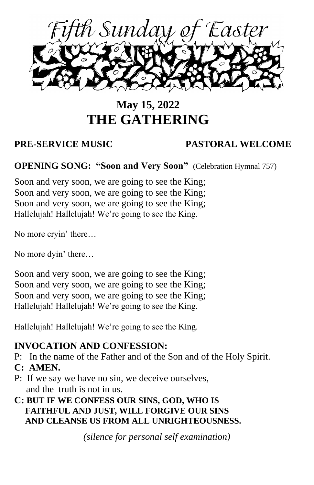

# **May 15, 2022 THE GATHERING**

# **PRE-SERVICE MUSIC PASTORAL WELCOME**

**OPENING SONG: "Soon and Very Soon"** (Celebration Hymnal 757)

Soon and very soon, we are going to see the King; Soon and very soon, we are going to see the King; Soon and very soon, we are going to see the King; Hallelujah! Hallelujah! We're going to see the King.

No more cryin' there…

No more dyin' there…

Soon and very soon, we are going to see the King; Soon and very soon, we are going to see the King; Soon and very soon, we are going to see the King; Hallelujah! Hallelujah! We're going to see the King.

Hallelujah! Hallelujah! We're going to see the King.

# **INVOCATION AND CONFESSION:**

P: In the name of the Father and of the Son and of the Holy Spirit.

- **C: AMEN.**
- P: If we say we have no sin, we deceive ourselves, and the truth is not in us.
- **C: BUT IF WE CONFESS OUR SINS, GOD, WHO IS FAITHFUL AND JUST, WILL FORGIVE OUR SINS AND CLEANSE US FROM ALL UNRIGHTEOUSNESS.**

*(silence for personal self examination)*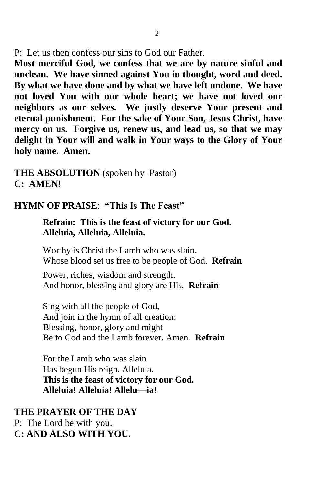P: Let us then confess our sins to God our Father.

**Most merciful God, we confess that we are by nature sinful and unclean. We have sinned against You in thought, word and deed. By what we have done and by what we have left undone. We have not loved You with our whole heart; we have not loved our neighbors as our selves. We justly deserve Your present and eternal punishment. For the sake of Your Son, Jesus Christ, have mercy on us. Forgive us, renew us, and lead us, so that we may delight in Your will and walk in Your ways to the Glory of Your holy name. Amen.**

**THE ABSOLUTION** (spoken by Pastor) **C: AMEN!**

### **HYMN OF PRAISE**: **"This Is The Feast"**

#### **Refrain: This is the feast of victory for our God. Alleluia, Alleluia, Alleluia.**

Worthy is Christ the Lamb who was slain. Whose blood set us free to be people of God. **Refrain**

Power, riches, wisdom and strength, And honor, blessing and glory are His. **Refrain**

Sing with all the people of God, And join in the hymn of all creation: Blessing, honor, glory and might Be to God and the Lamb forever. Amen. **Refrain**

For the Lamb who was slain Has begun His reign. Alleluia. **This is the feast of victory for our God. Alleluia! Alleluia! Allelu—ia!**

#### **THE PRAYER OF THE DAY**

P: The Lord be with you. **C: AND ALSO WITH YOU.**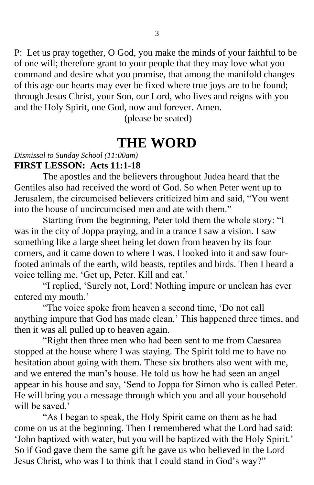P: Let us pray together, O God, you make the minds of your faithful to be of one will; therefore grant to your people that they may love what you command and desire what you promise, that among the manifold changes of this age our hearts may ever be fixed where true joys are to be found; through Jesus Christ, your Son, our Lord, who lives and reigns with you and the Holy Spirit, one God, now and forever. Amen.

(please be seated)

# **THE WORD**

#### *Dismissal to Sunday School (11:00am)*  **FIRST LESSON: Acts 11:1-18**

The apostles and the believers throughout Judea heard that the Gentiles also had received the word of God. So when Peter went up to Jerusalem, the circumcised believers criticized him and said, "You went into the house of uncircumcised men and ate with them."

Starting from the beginning, Peter told them the whole story: "I was in the city of Joppa praying, and in a trance I saw a vision. I saw something like a large sheet being let down from heaven by its four corners, and it came down to where I was. I looked into it and saw fourfooted animals of the earth, wild beasts, reptiles and birds. Then I heard a voice telling me, 'Get up, Peter. Kill and eat.'

"I replied, 'Surely not, Lord! Nothing impure or unclean has ever entered my mouth.'

"The voice spoke from heaven a second time, 'Do not call anything impure that God has made clean.' This happened three times, and then it was all pulled up to heaven again.

"Right then three men who had been sent to me from Caesarea stopped at the house where I was staying. The Spirit told me to have no hesitation about going with them. These six brothers also went with me, and we entered the man's house. He told us how he had seen an angel appear in his house and say, 'Send to Joppa for Simon who is called Peter. He will bring you a message through which you and all your household will be saved.'

"As I began to speak, the Holy Spirit came on them as he had come on us at the beginning. Then I remembered what the Lord had said: 'John baptized with water, but you will be baptized with the Holy Spirit.' So if God gave them the same gift he gave us who believed in the Lord Jesus Christ, who was I to think that I could stand in God's way?"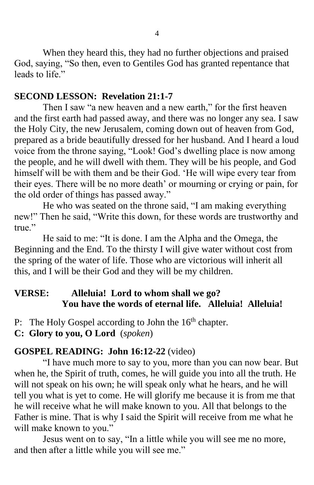When they heard this, they had no further objections and praised God, saying, "So then, even to Gentiles God has granted repentance that leads to life."

### **SECOND LESSON: Revelation 21:1-7**

Then I saw "a new heaven and a new earth," for the first heaven and the first earth had passed away, and there was no longer any sea. I saw the Holy City, the new Jerusalem, coming down out of heaven from God, prepared as a bride beautifully dressed for her husband. And I heard a loud voice from the throne saying, "Look! God's dwelling place is now among the people, and he will dwell with them. They will be his people, and God himself will be with them and be their God. 'He will wipe every tear from their eyes. There will be no more death' or mourning or crying or pain, for the old order of things has passed away."

He who was seated on the throne said, "I am making everything new!" Then he said, "Write this down, for these words are trustworthy and true."

He said to me: "It is done. I am the Alpha and the Omega, the Beginning and the End. To the thirsty I will give water without cost from the spring of the water of life. Those who are victorious will inherit all this, and I will be their God and they will be my children.

# **VERSE: Alleluia! Lord to whom shall we go? You have the words of eternal life. Alleluia! Alleluia!**

- P: The Holy Gospel according to John the  $16<sup>th</sup>$  chapter.
- **C: Glory to you, O Lord** (*spoken*)

# **GOSPEL READING: John 16:12-22** (video)

"I have much more to say to you, more than you can now bear. But when he, the Spirit of truth, comes, he will guide you into all the truth. He will not speak on his own; he will speak only what he hears, and he will tell you what is yet to come. He will glorify me because it is from me that he will receive what he will make known to you. All that belongs to the Father is mine. That is why I said the Spirit will receive from me what he will make known to you."

Jesus went on to say, "In a little while you will see me no more, and then after a little while you will see me."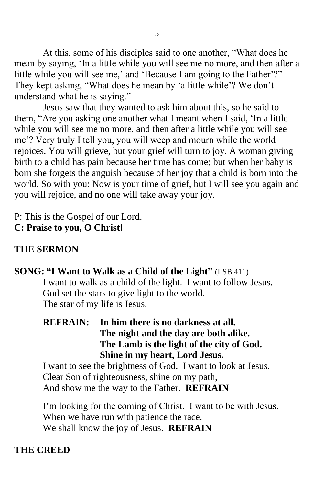At this, some of his disciples said to one another, "What does he mean by saying, 'In a little while you will see me no more, and then after a little while you will see me,' and 'Because I am going to the Father'?" They kept asking, "What does he mean by 'a little while'? We don't understand what he is saying."

Jesus saw that they wanted to ask him about this, so he said to them, "Are you asking one another what I meant when I said, 'In a little while you will see me no more, and then after a little while you will see me'? Very truly I tell you, you will weep and mourn while the world rejoices. You will grieve, but your grief will turn to joy. A woman giving birth to a child has pain because her time has come; but when her baby is born she forgets the anguish because of her joy that a child is born into the world. So with you: Now is your time of grief, but I will see you again and you will rejoice, and no one will take away your joy.

P: This is the Gospel of our Lord. **C: Praise to you, O Christ!**

#### **THE SERMON**

# **SONG: "I Want to Walk as a Child of the Light"** (LSB 411)

I want to walk as a child of the light. I want to follow Jesus. God set the stars to give light to the world. The star of my life is Jesus.

### **REFRAIN: In him there is no darkness at all. The night and the day are both alike. The Lamb is the light of the city of God. Shine in my heart, Lord Jesus.**

I want to see the brightness of God. I want to look at Jesus. Clear Son of righteousness, shine on my path, And show me the way to the Father. **REFRAIN**

I'm looking for the coming of Christ. I want to be with Jesus. When we have run with patience the race, We shall know the joy of Jesus. **REFRAIN**

#### **THE CREED**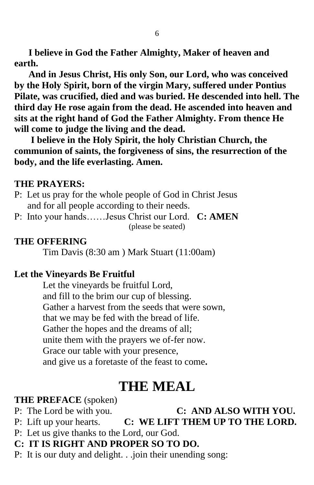**I believe in God the Father Almighty, Maker of heaven and earth.**

**And in Jesus Christ, His only Son, our Lord, who was conceived by the Holy Spirit, born of the virgin Mary, suffered under Pontius Pilate, was crucified, died and was buried. He descended into hell. The third day He rose again from the dead. He ascended into heaven and sits at the right hand of God the Father Almighty. From thence He will come to judge the living and the dead.**

**I believe in the Holy Spirit, the holy Christian Church, the communion of saints, the forgiveness of sins, the resurrection of the body, and the life everlasting. Amen.**

#### **THE PRAYERS:**

- P: Let us pray for the whole people of God in Christ Jesus and for all people according to their needs.
- P: Into your hands……Jesus Christ our Lord. **C: AMEN** (please be seated)

#### **THE OFFERING**

Tim Davis (8:30 am ) Mark Stuart (11:00am)

#### **Let the Vineyards Be Fruitful**

Let the vineyards be fruitful Lord, and fill to the brim our cup of blessing. Gather a harvest from the seeds that were sown, that we may be fed with the bread of life. Gather the hopes and the dreams of all; unite them with the prayers we of-fer now. Grace our table with your presence, and give us a foretaste of the feast to come**.** 

# **THE MEAL**

#### **THE PREFACE** (spoken)

- P: The Lord be with you. **C: AND ALSO WITH YOU.**
- P: Lift up your hearts. **C: WE LIFT THEM UP TO THE LORD.**
- P: Let us give thanks to the Lord, our God.
- **C: IT IS RIGHT AND PROPER SO TO DO.**
- P: It is our duty and delight. . .join their unending song: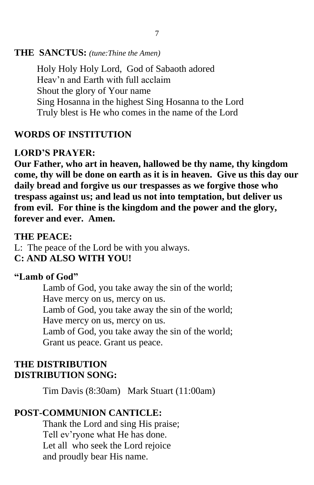#### **THE SANCTUS:** *(tune:Thine the Amen)*

Holy Holy Holy Lord, God of Sabaoth adored Heav'n and Earth with full acclaim Shout the glory of Your name Sing Hosanna in the highest Sing Hosanna to the Lord Truly blest is He who comes in the name of the Lord

### **WORDS OF INSTITUTION**

#### **LORD'S PRAYER:**

**Our Father, who art in heaven, hallowed be thy name, thy kingdom come, thy will be done on earth as it is in heaven. Give us this day our daily bread and forgive us our trespasses as we forgive those who trespass against us; and lead us not into temptation, but deliver us from evil. For thine is the kingdom and the power and the glory, forever and ever. Amen.**

#### **THE PEACE:**

L: The peace of the Lord be with you always. **C: AND ALSO WITH YOU!**

#### **"Lamb of God"**

Lamb of God, you take away the sin of the world; Have mercy on us, mercy on us.

Lamb of God, you take away the sin of the world; Have mercy on us, mercy on us.

Lamb of God, you take away the sin of the world; Grant us peace. Grant us peace.

### **THE DISTRIBUTION DISTRIBUTION SONG:**

Tim Davis (8:30am) Mark Stuart (11:00am)

#### **POST-COMMUNION CANTICLE:**

Thank the Lord and sing His praise; Tell ev'ryone what He has done. Let all who seek the Lord rejoice and proudly bear His name.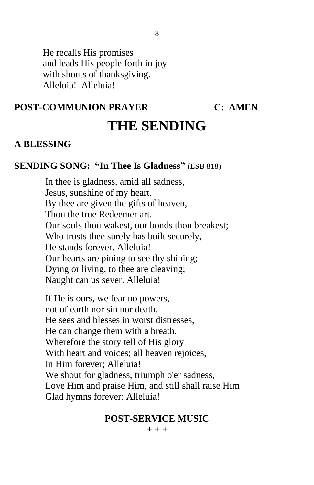#### **POST-COMMUNION PRAYER C: AMEN**

# **THE SENDING**

#### **A BLESSING**

#### **SENDING SONG: "In Thee Is Gladness"** (LSB 818)

In thee is gladness, amid all sadness, Jesus, sunshine of my heart. By thee are given the gifts of heaven, Thou the true Redeemer art. Our souls thou wakest, our bonds thou breakest; Who trusts thee surely has built securely, He stands forever. Alleluia! Our hearts are pining to see thy shining; Dying or living, to thee are cleaving; Naught can us sever. Alleluia!

If He is ours, we fear no powers, not of earth nor sin nor death. He sees and blesses in worst distresses, He can change them with a breath. Wherefore the story tell of His glory With heart and voices; all heaven rejoices, In Him forever; Alleluia! We shout for gladness, triumph o'er sadness, Love Him and praise Him, and still shall raise Him Glad hymns forever: Alleluia!

#### **POST-SERVICE MUSIC**

**+ + +**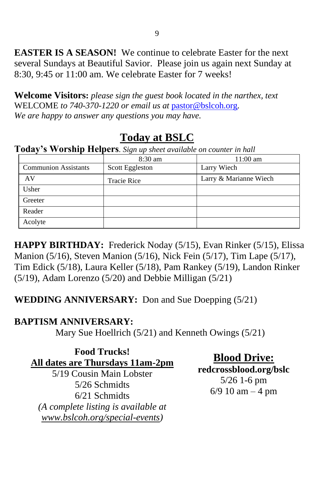**EASTER IS A SEASON!** We continue to celebrate Easter for the next several Sundays at Beautiful Savior. Please join us again next Sunday at 8:30, 9:45 or 11:00 am. We celebrate Easter for 7 weeks!

**Welcome Visitors:** *please sign the guest book located in the narthex, text* WELCOME *to 740-370-1220 or email us at* [pastor@bslcoh.org](mailto:pastor@bslcoh.org)*. We are happy to answer any questions you may have.* 

# **Today at BSLC**

#### **Today's Worship Helpers***. Sign up sheet available on counter in hall*

|                             | $8:30$ am          | $11:00$ am             |
|-----------------------------|--------------------|------------------------|
| <b>Communion Assistants</b> | Scott Eggleston    | Larry Wiech            |
| AV                          | <b>Tracie Rice</b> | Larry & Marianne Wiech |
| Usher                       |                    |                        |
| Greeter                     |                    |                        |
| Reader                      |                    |                        |
| Acolyte                     |                    |                        |

**HAPPY BIRTHDAY:** Frederick Noday (5/15), Evan Rinker (5/15), Elissa Manion (5/16), Steven Manion (5/16), Nick Fein (5/17), Tim Lape (5/17), Tim Edick (5/18), Laura Keller (5/18), Pam Rankey (5/19), Landon Rinker (5/19), Adam Lorenzo (5/20) and Debbie Milligan (5/21)

**WEDDING ANNIVERSARY:** Don and Sue Doepping (5/21)

#### **BAPTISM ANNIVERSARY:**

Mary Sue Hoellrich (5/21) and Kenneth Owings (5/21)

#### **Food Trucks! All dates are Thursdays 11am-2pm**

5/19 Cousin Main Lobster 5/26 Schmidts 6/21 Schmidts *(A complete listing is available at [www.bslcoh.org/special-events\)](http://www.bslcoh.org/special-events)*

**Blood Drive: redcrossblood.org/bslc** 5/26 1-6 pm  $6/9$  10 am  $-4$  pm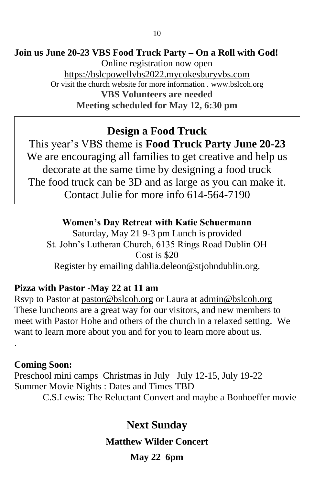**Join us June 20-23 VBS Food Truck Party – On a Roll with God!**  Online registration now open [https://bslcpowellvbs2022.mycokesburyvbs.com](https://bslcpowellvbs2022.mycokesburyvbs.com/) Or visit the church website for more information . [www.bslcoh.org](http://www.bslcoh.org/) **VBS Volunteers are needed Meeting scheduled for May 12, 6:30 pm** 

## **Design a Food Truck**

This year's VBS theme is **Food Truck Party June 20-23** We are encouraging all families to get creative and help us decorate at the same time by designing a food truck The food truck can be 3D and as large as you can make it. Contact Julie for more info 614-564-7190

**Women's Day Retreat with Katie Schuermann**

Saturday, May 21 9-3 pm Lunch is provided St. John's Lutheran Church, 6135 Rings Road Dublin OH Cost is \$20 Register by emailing dahlia.deleon@stjohndublin.org.

### **Pizza with Pastor -May 22 at 11 am**

Rsvp to Pastor at [pastor@bslcoh.org](mailto:pastor@bslcoh.org) or Laura at [admin@bslcoh.org](mailto:admin@bslcoh.org) These luncheons are a great way for our visitors, and new members to meet with Pastor Hohe and others of the church in a relaxed setting. We want to learn more about you and for you to learn more about us.

#### **Coming Soon:**

.

Preschool mini camps Christmas in July July 12-15, July 19-22 Summer Movie Nights : Dates and Times TBD

C.S.Lewis: The Reluctant Convert and maybe a Bonhoeffer movie

# **Next Sunday**

**Matthew Wilder Concert** 

# **May 22 6pm**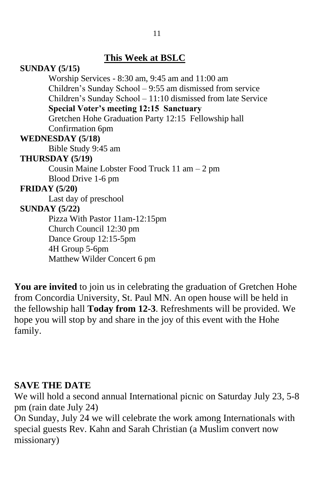## **This Week at BSLC**

#### **SUNDAY (5/15)**

Worship Services - 8:30 am, 9:45 am and 11:00 am Children's Sunday School – 9:55 am dismissed from service Children's Sunday School – 11:10 dismissed from late Service **Special Voter's meeting 12:15 Sanctuary**  Gretchen Hohe Graduation Party 12:15 Fellowship hall Confirmation 6pm **WEDNESDAY (5/18)** Bible Study 9:45 am **THURSDAY (5/19)** Cousin Maine Lobster Food Truck 11 am – 2 pm Blood Drive 1-6 pm **FRIDAY (5/20)**  Last day of preschool **SUNDAY (5/22)**  Pizza With Pastor 11am-12:15pm Church Council 12:30 pm Dance Group 12:15-5pm 4H Group 5-6pm

Matthew Wilder Concert 6 pm

**You are invited** to join us in celebrating the graduation of Gretchen Hohe from Concordia University, St. Paul MN. An open house will be held in the fellowship hall **Today from 12-3**. Refreshments will be provided. We hope you will stop by and share in the joy of this event with the Hohe family.

#### **SAVE THE DATE**

We will hold a second annual International picnic on Saturday July 23, 5-8 pm (rain date July 24)

On Sunday, July 24 we will celebrate the work among Internationals with special guests Rev. Kahn and Sarah Christian (a Muslim convert now missionary)